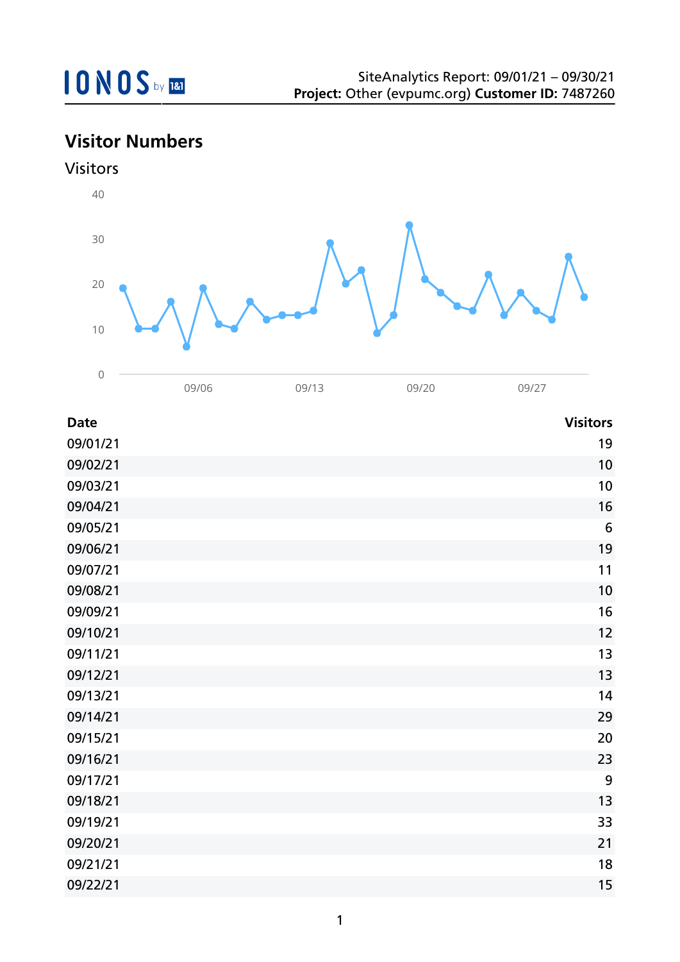## **Visitor Numbers**





| <b>Date</b> | <b>Visitors</b> |
|-------------|-----------------|
| 09/01/21    | 19              |
| 09/02/21    | 10              |
| 09/03/21    | 10              |
| 09/04/21    | 16              |
| 09/05/21    | $6\phantom{1}6$ |
| 09/06/21    | 19              |
| 09/07/21    | 11              |
| 09/08/21    | 10              |
| 09/09/21    | 16              |
| 09/10/21    | 12              |
| 09/11/21    | 13              |
| 09/12/21    | 13              |
| 09/13/21    | 14              |
| 09/14/21    | 29              |
| 09/15/21    | 20              |
| 09/16/21    | 23              |
| 09/17/21    | 9               |
| 09/18/21    | 13              |
| 09/19/21    | 33              |
| 09/20/21    | 21              |
| 09/21/21    | 18              |
| 09/22/21    | 15              |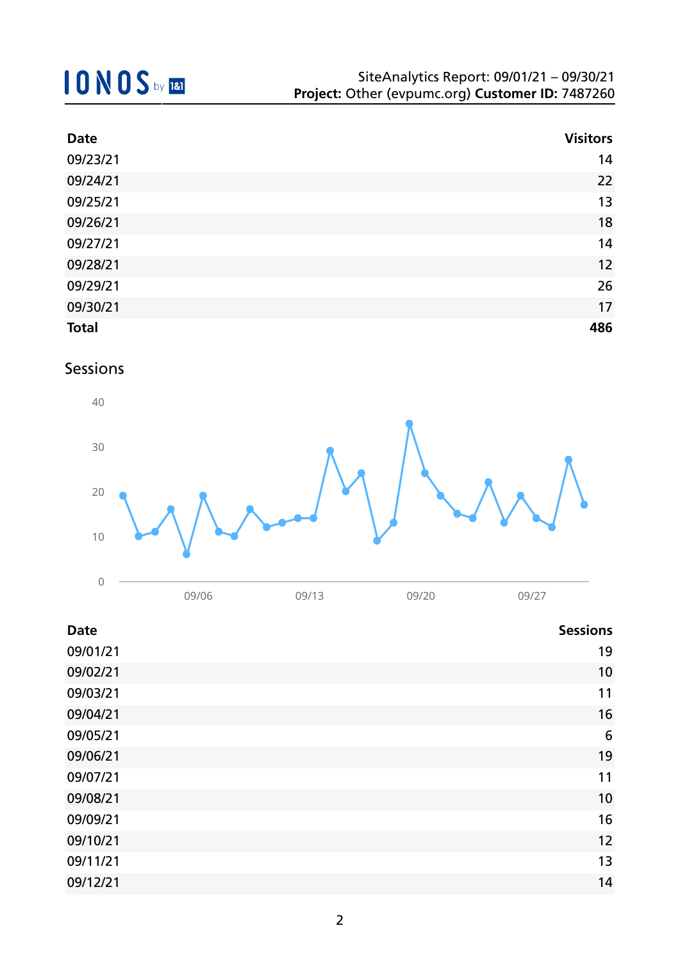## **10NOS** by REI

| <b>Date</b>  | <b>Visitors</b> |
|--------------|-----------------|
| 09/23/21     | 14              |
| 09/24/21     | 22              |
| 09/25/21     | 13              |
| 09/26/21     | 18              |
| 09/27/21     | 14              |
| 09/28/21     | 12              |
| 09/29/21     | 26              |
| 09/30/21     | 17              |
| <b>Total</b> | 486             |

### Sessions



| <b>Date</b> | <b>Sessions</b> |
|-------------|-----------------|
| 09/01/21    | 19              |
| 09/02/21    | 10              |
| 09/03/21    | 11              |
| 09/04/21    | 16              |
| 09/05/21    | 6               |
| 09/06/21    | 19              |
| 09/07/21    | 11              |
| 09/08/21    | 10              |
| 09/09/21    | 16              |
| 09/10/21    | 12              |
| 09/11/21    | 13              |
| 09/12/21    | 14              |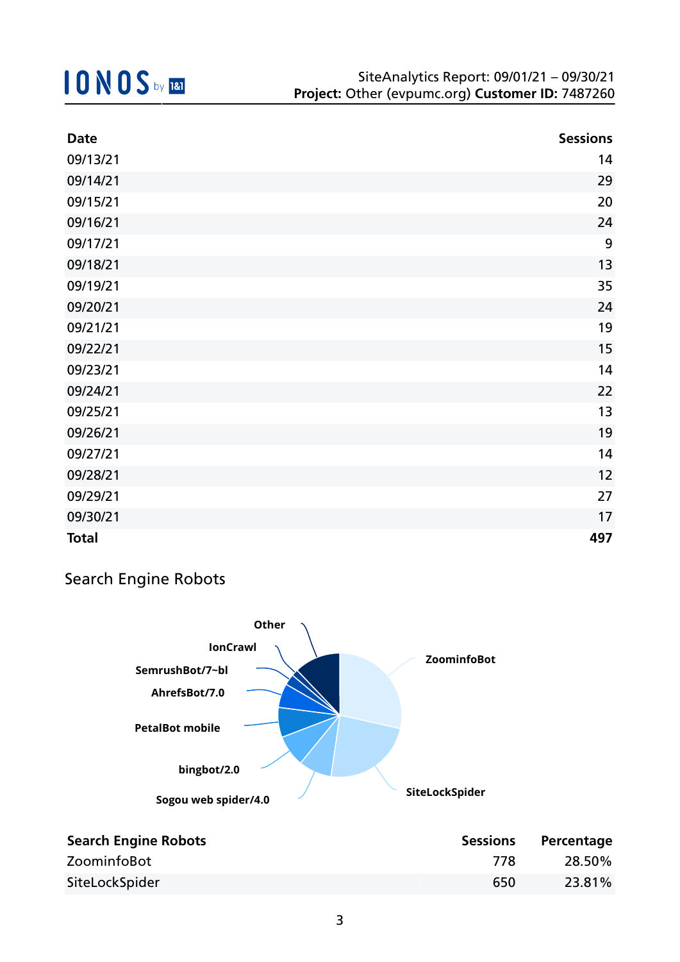| <b>Date</b>  | <b>Sessions</b> |
|--------------|-----------------|
| 09/13/21     | 14              |
| 09/14/21     | 29              |
| 09/15/21     | 20              |
| 09/16/21     | 24              |
| 09/17/21     | 9               |
| 09/18/21     | 13              |
| 09/19/21     | 35              |
| 09/20/21     | 24              |
| 09/21/21     | 19              |
| 09/22/21     | 15              |
| 09/23/21     | 14              |
| 09/24/21     | 22              |
| 09/25/21     | 13              |
| 09/26/21     | 19              |
| 09/27/21     | 14              |
| 09/28/21     | 12              |
| 09/29/21     | 27              |
| 09/30/21     | 17              |
| <b>Total</b> | 497             |

## Search Engine Robots



| <b>Search Engine Robots</b> | <b>Sessions</b> | Percentage |
|-----------------------------|-----------------|------------|
| ZoominfoBot                 | 778             | 28.50%     |
| SiteLockSpider              | 650             | 23.81%     |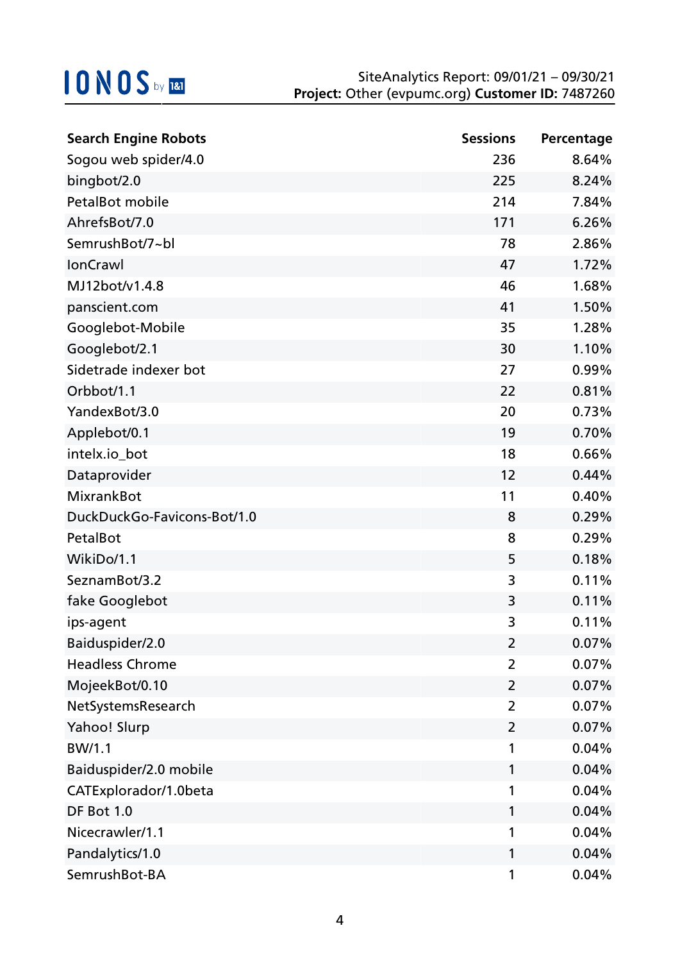| <b>Search Engine Robots</b> | <b>Sessions</b> | Percentage |
|-----------------------------|-----------------|------------|
| Sogou web spider/4.0        | 236             | 8.64%      |
| bingbot/2.0                 | 225             | 8.24%      |
| PetalBot mobile             | 214             | 7.84%      |
| AhrefsBot/7.0               | 171             | 6.26%      |
| SemrushBot/7~bl             | 78              | 2.86%      |
| <b>IonCrawl</b>             | 47              | 1.72%      |
| MJ12bot/v1.4.8              | 46              | 1.68%      |
| panscient.com               | 41              | 1.50%      |
| Googlebot-Mobile            | 35              | 1.28%      |
| Googlebot/2.1               | 30              | 1.10%      |
| Sidetrade indexer bot       | 27              | 0.99%      |
| Orbbot/1.1                  | 22              | 0.81%      |
| YandexBot/3.0               | 20              | 0.73%      |
| Applebot/0.1                | 19              | 0.70%      |
| intelx.io_bot               | 18              | 0.66%      |
| Dataprovider                | 12              | 0.44%      |
| <b>MixrankBot</b>           | 11              | 0.40%      |
| DuckDuckGo-Favicons-Bot/1.0 | 8               | 0.29%      |
| PetalBot                    | 8               | 0.29%      |
| WikiDo/1.1                  | 5               | 0.18%      |
| SeznamBot/3.2               | 3               | 0.11%      |
| fake Googlebot              | 3               | 0.11%      |
| ips-agent                   | 3               | 0.11%      |
| Baiduspider/2.0             | 2               | 0.07%      |
| <b>Headless Chrome</b>      | 2               | 0.07%      |
| MojeekBot/0.10              | $\overline{2}$  | 0.07%      |
| NetSystemsResearch          | $\overline{2}$  | 0.07%      |
| Yahoo! Slurp                | $\overline{2}$  | 0.07%      |
| BW/1.1                      | 1               | 0.04%      |
| Baiduspider/2.0 mobile      | 1               | 0.04%      |
| CATExplorador/1.0beta       | 1               | 0.04%      |
| DF Bot 1.0                  | 1               | 0.04%      |
| Nicecrawler/1.1             | 1               | 0.04%      |
| Pandalytics/1.0             | 1               | 0.04%      |
| SemrushBot-BA               | 1               | 0.04%      |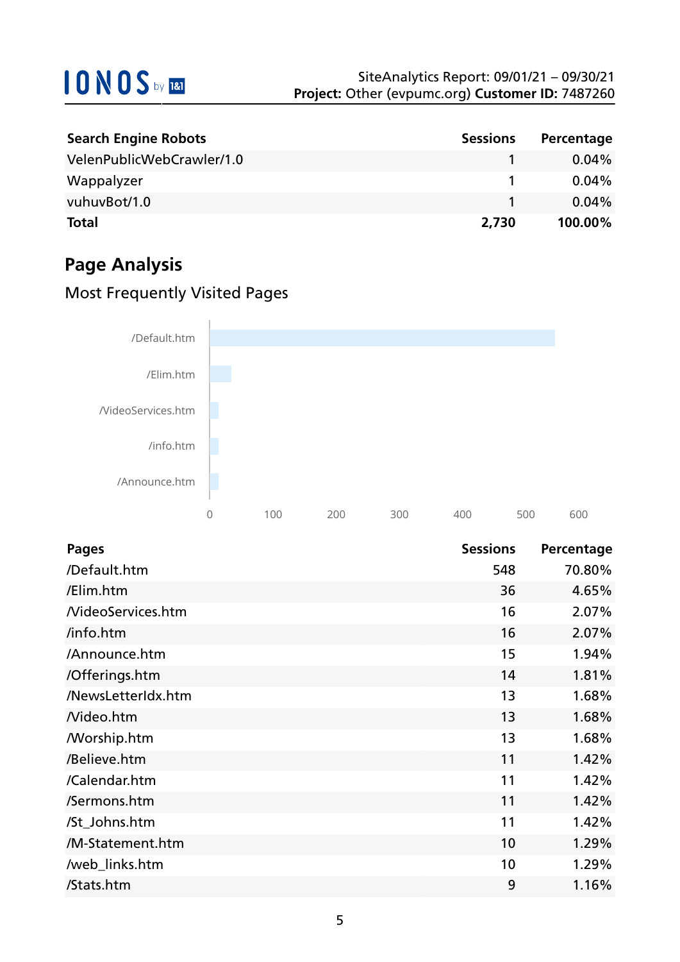| <b>Search Engine Robots</b> | <b>Sessions</b> | Percentage |
|-----------------------------|-----------------|------------|
| VelenPublicWebCrawler/1.0   |                 | $0.04\%$   |
| Wappalyzer                  |                 | $0.04\%$   |
| vuhuvBot/1.0                |                 | $0.04\%$   |
| <b>Total</b>                | 2,730           | 100.00%    |

## **Page Analysis**

## Most Frequently Visited Pages



| <b>Pages</b>       | <b>Sessions</b> | Percentage |
|--------------------|-----------------|------------|
| /Default.htm       | 548             | 70.80%     |
| /Elim.htm          | 36              | 4.65%      |
| NideoServices.htm  | 16              | 2.07%      |
| /info.htm          | 16              | 2.07%      |
| /Announce.htm      | 15              | 1.94%      |
| /Offerings.htm     | 14              | 1.81%      |
| /NewsLetterIdx.htm | 13              | 1.68%      |
| Nideo.htm          | 13              | 1.68%      |
| /Worship.htm       | 13              | 1.68%      |
| /Believe.htm       | 11              | 1.42%      |
| /Calendar.htm      | 11              | 1.42%      |
| /Sermons.htm       | 11              | 1.42%      |
| /St_Johns.htm      | 11              | 1.42%      |
| /M-Statement.htm   | 10              | 1.29%      |
| /web_links.htm     | 10              | 1.29%      |
| /Stats.htm         | 9               | 1.16%      |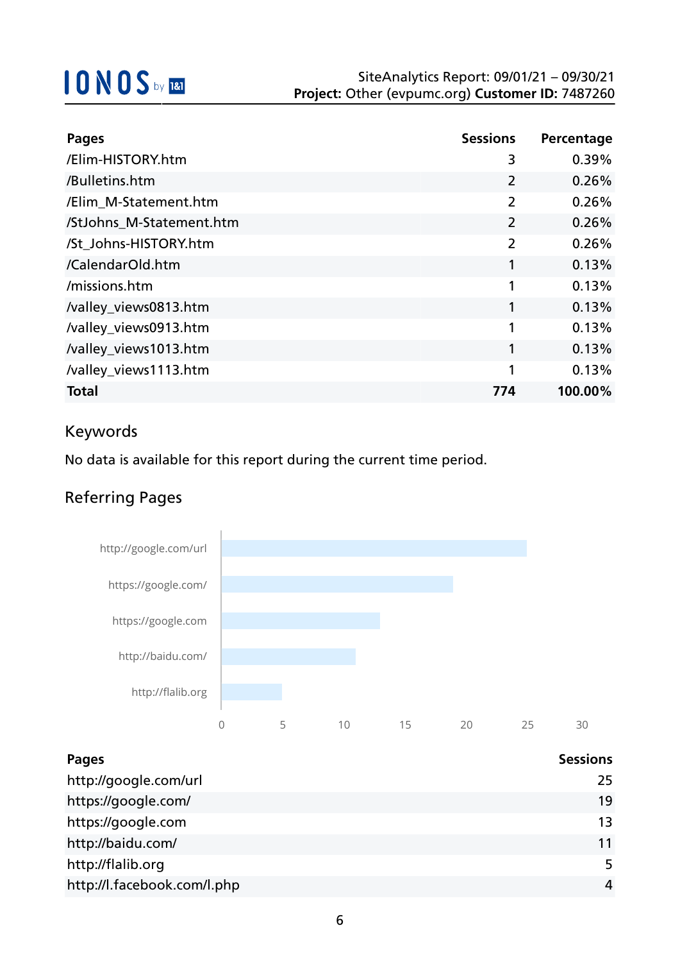| <b>Pages</b>             | <b>Sessions</b> | Percentage |
|--------------------------|-----------------|------------|
| /Elim-HISTORY.htm        | 3               | 0.39%      |
| /Bulletins.htm           | $\overline{2}$  | 0.26%      |
| /Elim M-Statement.htm    | $\overline{2}$  | 0.26%      |
| /StJohns_M-Statement.htm | 2               | 0.26%      |
| /St Johns-HISTORY.htm    | $\overline{2}$  | 0.26%      |
| /CalendarOld.htm         | 1               | 0.13%      |
| /missions.htm            | 1               | 0.13%      |
| /valley_views0813.htm    | 1               | 0.13%      |
| /valley_views0913.htm    | 1               | 0.13%      |
| /valley_views1013.htm    | 1               | 0.13%      |
| /valley_views1113.htm    | 1               | 0.13%      |
| <b>Total</b>             | 774             | 100.00%    |

### Keywords

No data is available for this report during the current time period.

## Referring Pages



| <b>Pages</b>                | <b>Sessions</b> |
|-----------------------------|-----------------|
| http://google.com/url       | 25              |
| https://google.com/         | 19              |
| https://google.com          | 13              |
| http://baidu.com/           | 11              |
| http://flalib.org           | 5               |
| http://l.facebook.com/l.php | 4               |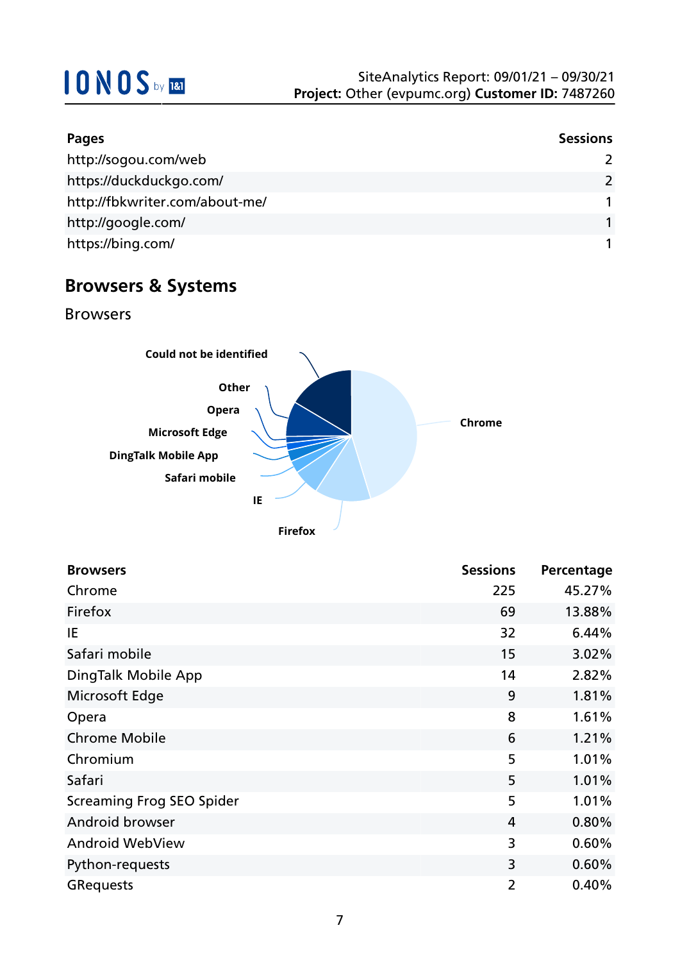| Pages                          | <b>Sessions</b> |
|--------------------------------|-----------------|
| http://sogou.com/web           |                 |
| https://duckduckgo.com/        | $\mathcal{P}$   |
| http://fbkwriter.com/about-me/ |                 |
| http://google.com/             |                 |
| https://bing.com/              |                 |

## **Browsers & Systems**

Browsers



| <b>Browsers</b>                  | <b>Sessions</b> | Percentage |
|----------------------------------|-----------------|------------|
| Chrome                           | 225             | 45.27%     |
| Firefox                          | 69              | 13.88%     |
| IE                               | 32              | 6.44%      |
| Safari mobile                    | 15              | 3.02%      |
| DingTalk Mobile App              | 14              | 2.82%      |
| Microsoft Edge                   | 9               | 1.81%      |
| Opera                            | 8               | 1.61%      |
| <b>Chrome Mobile</b>             | 6               | 1.21%      |
| Chromium                         | 5               | 1.01%      |
| Safari                           | 5               | 1.01%      |
| <b>Screaming Frog SEO Spider</b> | 5               | 1.01%      |
| Android browser                  | $\overline{4}$  | 0.80%      |
| <b>Android WebView</b>           | 3               | 0.60%      |
| Python-requests                  | 3               | 0.60%      |
| <b>GRequests</b>                 | $\overline{2}$  | 0.40%      |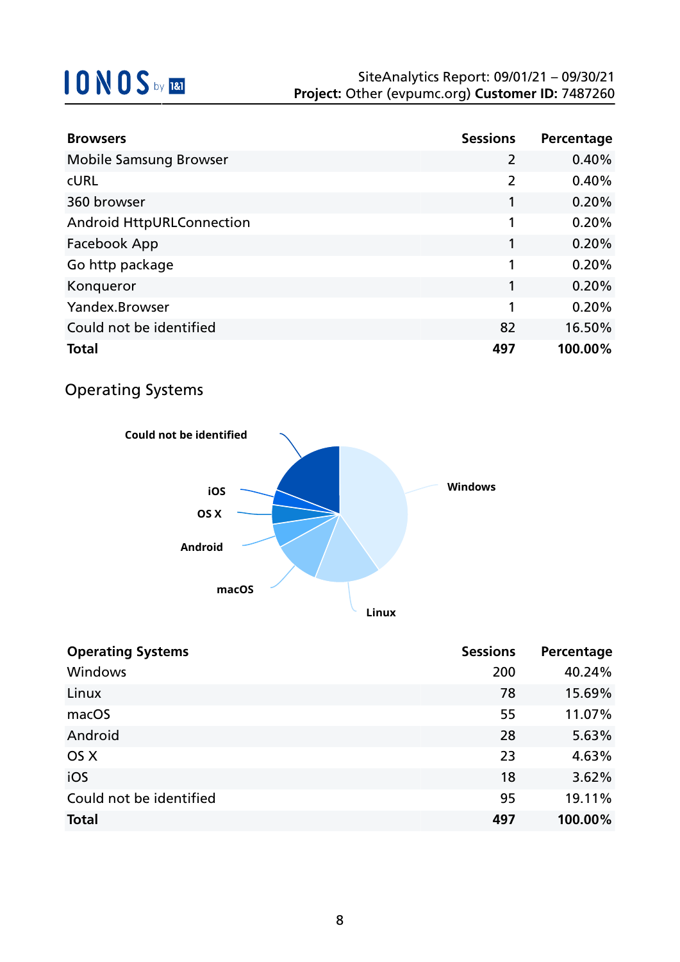| <b>Browsers</b>               | <b>Sessions</b> | Percentage |
|-------------------------------|-----------------|------------|
| <b>Mobile Samsung Browser</b> | $\overline{2}$  | 0.40%      |
| <b>CURL</b>                   | $\overline{2}$  | 0.40%      |
| 360 browser                   |                 | 0.20%      |
| Android HttpURLConnection     | 1               | 0.20%      |
| Facebook App                  |                 | 0.20%      |
| Go http package               | 1               | 0.20%      |
| Konqueror                     | 1               | 0.20%      |
| Yandex.Browser                | 1               | 0.20%      |
| Could not be identified       | 82              | 16.50%     |
| <b>Total</b>                  | 497             | 100.00%    |

## Operating Systems



| <b>Operating Systems</b> | <b>Sessions</b> | Percentage |
|--------------------------|-----------------|------------|
| <b>Windows</b>           | 200             | 40.24%     |
| Linux                    | 78              | 15.69%     |
| macOS                    | 55              | 11.07%     |
| Android                  | 28              | 5.63%      |
| OS X                     | 23              | 4.63%      |
| iOS                      | 18              | 3.62%      |
| Could not be identified  | 95              | 19.11%     |
| <b>Total</b>             | 497             | 100.00%    |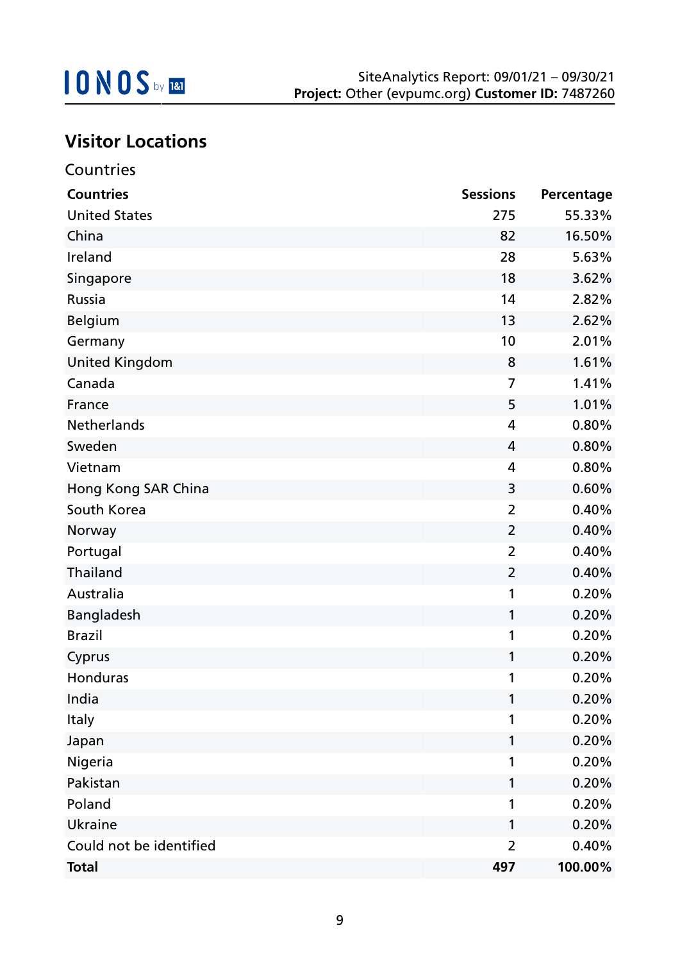

## **Visitor Locations**

| Countries               |                 |            |
|-------------------------|-----------------|------------|
| <b>Countries</b>        | <b>Sessions</b> | Percentage |
| <b>United States</b>    | 275             | 55.33%     |
| China                   | 82              | 16.50%     |
| Ireland                 | 28              | 5.63%      |
| Singapore               | 18              | 3.62%      |
| Russia                  | 14              | 2.82%      |
| <b>Belgium</b>          | 13              | 2.62%      |
| Germany                 | 10              | 2.01%      |
| <b>United Kingdom</b>   | 8               | 1.61%      |
| Canada                  | 7               | 1.41%      |
| France                  | 5               | 1.01%      |
| Netherlands             | $\overline{4}$  | 0.80%      |
| Sweden                  | 4               | 0.80%      |
| Vietnam                 | 4               | 0.80%      |
| Hong Kong SAR China     | 3               | 0.60%      |
| South Korea             | $\overline{2}$  | 0.40%      |
| Norway                  | $\overline{2}$  | 0.40%      |
| Portugal                | $\overline{2}$  | 0.40%      |
| Thailand                | $\overline{2}$  | 0.40%      |
| Australia               | 1               | 0.20%      |
| Bangladesh              | 1               | 0.20%      |
| <b>Brazil</b>           | 1               | 0.20%      |
| Cyprus                  | 1               | 0.20%      |
| Honduras                | 1               | 0.20%      |
| India                   | 1               | 0.20%      |
| Italy                   | 1               | 0.20%      |
| Japan                   | 1               | 0.20%      |
| Nigeria                 | 1               | 0.20%      |
| Pakistan                | 1               | 0.20%      |
| Poland                  | 1               | 0.20%      |
| Ukraine                 | 1               | 0.20%      |
| Could not be identified | 2               | 0.40%      |
| <b>Total</b>            | 497             | 100.00%    |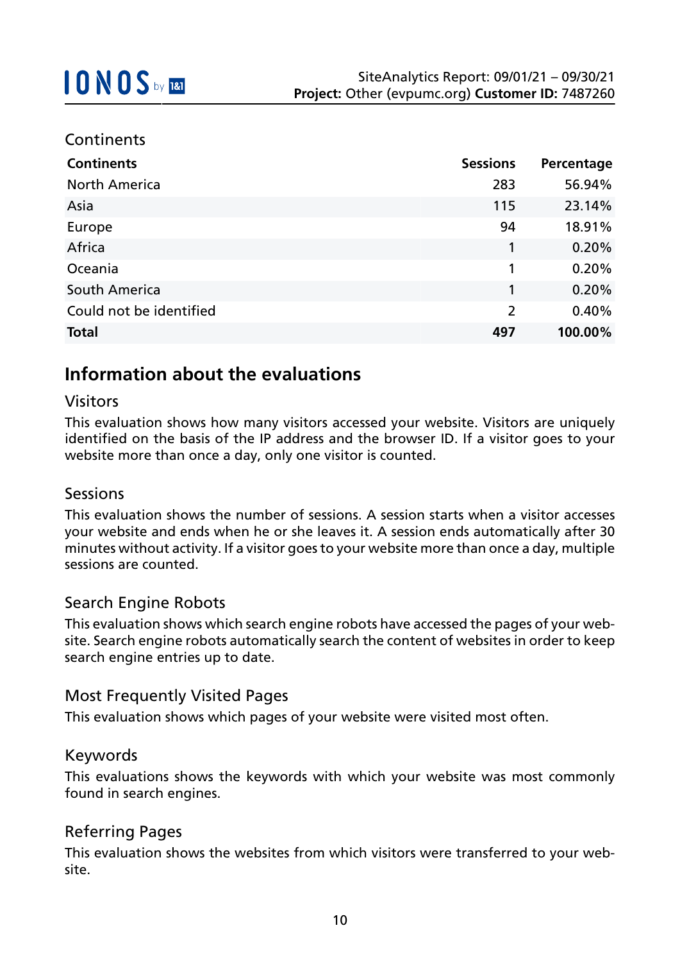#### **Continents**

| <b>Continents</b>       | <b>Sessions</b> | Percentage |
|-------------------------|-----------------|------------|
| <b>North America</b>    | 283             | 56.94%     |
| Asia                    | 115             | 23.14%     |
| Europe                  | 94              | 18.91%     |
| Africa                  | 1               | 0.20%      |
| Oceania                 | 1               | 0.20%      |
| South America           | 1               | 0.20%      |
| Could not be identified | $\overline{2}$  | 0.40%      |
| <b>Total</b>            | 497             | 100.00%    |

## **Information about the evaluations**

#### Visitors

This evaluation shows how many visitors accessed your website. Visitors are uniquely identified on the basis of the IP address and the browser ID. If a visitor goes to your website more than once a day, only one visitor is counted.

### Sessions

This evaluation shows the number of sessions. A session starts when a visitor accesses your website and ends when he or she leaves it. A session ends automatically after 30 minutes without activity. If a visitor goes to your website more than once a day, multiple sessions are counted.

### Search Engine Robots

This evaluation shows which search engine robots have accessed the pages of your website. Search engine robots automatically search the content of websites in order to keep search engine entries up to date.

### Most Frequently Visited Pages

This evaluation shows which pages of your website were visited most often.

#### Keywords

This evaluations shows the keywords with which your website was most commonly found in search engines.

### Referring Pages

This evaluation shows the websites from which visitors were transferred to your website.